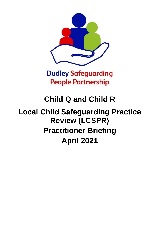

## **Dudley Safeguarding People Partnership**

## **Child Q and Child R**

# **Local Child Safeguarding Practice Review (LCSPR) Practitioner Briefing April 2021**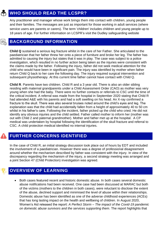### **WHO SHOULD READ THE LCSPR?**

Any practitioner and manager whose work brings them into contact with children, young people and their families. The messages are just as important for those working in adult services (where service users are parents or carers). The term 'children' includes children and young people up to 18 years of age. For further information on LCSPR's visit the Dudley safeguarding website

#### **BACKGROUND INFORMATION**

**Child Q** sustained a serious leg fracture whilst in the care of her Father. She articulated to the paediatrician that her father threw her onto a piece of furniture and broke her leg. The father has admitted to causing the injury but states that it was in play. The case was subject to a police investigation, which resulted in no further action being taken as the injuries were consistent with the claims made by the father. Following the injury, father did not seek medical attention for the child who would have been in significant pain. The injury was identified by mother when father return Child Q back to her care the following day. The injury required surgical intervention and subsequent physiotherapy. At this current time father cannot have contact with Child Q.

**Child R**. Parents have two children. Child R and a 3 year old. There is also an older sibling residing with maternal grandparents under a Child Assessment Order (CAO) as mother was very young when she had the baby. There were no further contacts or referrals to CSC until the time of the critical incident. A referral was made from the hospital in September 2020 stating that Child R had attended A&E with his parents and had a soft swelling on his head. An X-ray confirmed a fracture to the skull. There was also several bruises noted around the child's eyes and leg. The explanation was that the child had accidentally fallen from a height of approximately 40 to 50 cm whilst in his father's care. Following the incident, father picked up the child who cried. He did not identify any obvious injuries and the child settled. Father called mother to inform her (mother was out with Child 2 and paternal grandmother). Mother and father met up at the hospital. A CP medical was undertaken by hospital following the identification of the skull fracture and referral to CSC. A child protection medical identified no internal injuries.

#### **FURTHER CONCERNS IDENTIFIED**

In the case of Child R, an initial strategy discussion took place out of hours by EDT and included the involvement of a paediatrician. However there was a degree of professional disagreement around whether the mechanism described by father was consistent with the injury. In view of the discrepancy regarding the mechanism of the injury, a second strategy meeting was arranged and a joint Section 47 (Child Protection) investigation was agreed.

### **OVERVIEW OF LEARNING**

• Both cases featured recent and historic domestic abuse. In both cases several domestic abuse notifications had been received. One case had been discussed at MARAC but both of the victims (mothers to the children in both cases), were reluctant to disclose the extent of the abuse, declined support and minimised the level of abuse within their relationships. Domestic abuse has been identified as one of the adverse childhood experiences (ACEs) that has long lasting impact on the health and wellbeing of children. In August 2020, Women's Aid released the report: *A Perfect Storm – The impact of the Covid-19 pandemic on domestic abuse survivors and the services supporting them*. The report highlights that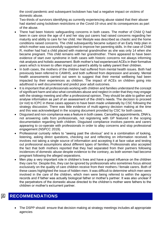the covid pandemic and subsequent lockdown has had a negative impact on victims of domestic abuse.

Two-thirds of survivors identifying as currently experiencing abuse stated that their abuser had started using lockdown restrictions or the Covid-19 virus and its consequences as part of the abuse.

- There had been historic safeguarding concerns in both cases. The mother of Child Q had been in care since the age of 4 and her stay put carers had raised concerns regarding her maturity and ability to care for her child. Her lifestyle was described as chaotic and the home conditions raised concerns. The child subsequently became subject of an Early Help plan in which mother was successfully supported to improve her parenting skills. In the case of Child R, mother had had a child placed with maternal grandmother as she was only 14 when she became pregnant. This child remains with her grandmother. There appeared to have been evidence of start over syndrome in both cases with historic concerns not always informing risk analysis and holistic assessment. Both mother's had experienced ACEs in their formative years which is known to often impact on parent's ability to safely parent their children.
- In both cases, the mothers of the children had suffered from mental health issues. Both had previously been referred to CAMHS, and both suffered from depression and anxiety. Mental health assessments carried out seem to suggest that their mental wellbeing had been impacted by their experiences as children. The impact of ACEs on children going into adulthood is well documented and predict poor adult outcomes.
- It is important that all professionals working with children and families understand the concept of significant harm and also what constitutes abuse and neglect in order that they may engage with the strategy meeting and offer a professional opinion. They should be able to gather and analyse information as part of an assessment of the child's needs. The decision to proceed (or not) to ICPC in these cases appears to have been made unilaterally by CSC following the strategy discussion. There was little evidence of multi-agency decision making at the time and this was acknowledged in the scoping document provided by CSC for both cases.
- Disguised and non-compliance was a feature in both cases. Cancelling appointments, DNA's, not answering calls from professionals, not registering with GP featured in the scoping documentation regarding both children. Disguised compliance involves parents and carers appearing to co-operate with professionals in order to allay concerns and stop professional engagement (NSPCC 2019).
- Professional curiosity refers to "seeing past the obvious" and is a combination of looking, listening, asking direct questions, checking out and reflecting on information received. It involves not taking a single source of information and accepting it at face value and testing out professional assumptions about different types of families. Professionals also accepted the fact that both mothers reported that they had separated from their partners following incidences of domestic abuse despite evidence to the contrary, as both women had become pregnant following the alleged separations.
- Men play a very important role in children's lives and have a great influence on the children they care for. Despite this, they can be ignored by professionals who sometimes focus almost exclusively on the quality of care children receive from their mothers / female carers. Both of these cases highlighted the issue of hidden men. It was difficult to determine which men were involved in the care of the children, which men were being referred to within the agency records and if father was actually biological father or mother's partner. It was also unclear if the perpetrators of the domestic abuse directed to the children's mother were fathers to the children or mother's ex/current partner.

#### **RECOMMENDATIONS** <u>|p|</u>

• The DSPP should ensure that decision making at strategy meetings includes all appropriate agencies